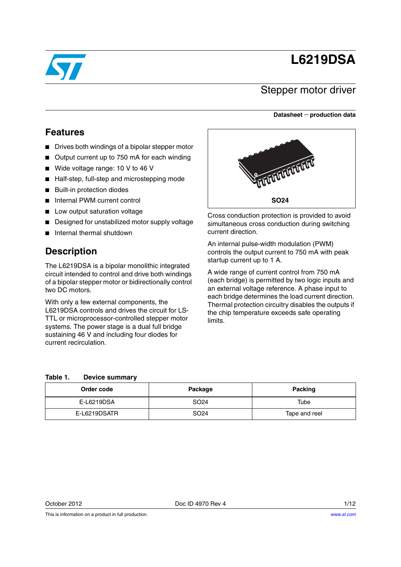# **L6219DSA**



### Stepper motor driver

#### **Datasheet** − **production data**

### **Features**

- Drives both windings of a bipolar stepper motor
- Output current up to 750 mA for each winding
- Wide voltage range: 10 V to 46 V
- Half-step, full-step and microstepping mode
- Built-in protection diodes
- Internal PWM current control
- Low output saturation voltage
- Designed for unstabilized motor supply voltage
- Internal thermal shutdown

### **Description**

The L6219DSA is a bipolar monolithic integrated circuit intended to control and drive both windings of a bipolar stepper motor or bidirectionally control two DC motors.

With only a few external components, the L6219DSA controls and drives the circuit for LS-TTL or microprocessor-controlled stepper motor systems. The power stage is a dual full bridge sustaining 46 V and including four diodes for current recirculation.



Cross conduction protection is provided to avoid simultaneous cross conduction during switching current direction.

An internal pulse-width modulation (PWM) controls the output current to 750 mA with peak startup current up to 1 A.

A wide range of current control from 750 mA (each bridge) is permitted by two logic inputs and an external voltage reference. A phase input to each bridge determines the load current direction. Thermal protection circuitry disables the outputs if the chip temperature exceeds safe operating limits.

#### **Table 1. Device summary**

| Order code   | Package          | Packing       |
|--------------|------------------|---------------|
| E-L6219DSA   | SO <sub>24</sub> | Tube          |
| E-L6219DSATR | SO <sub>24</sub> | Tape and reel |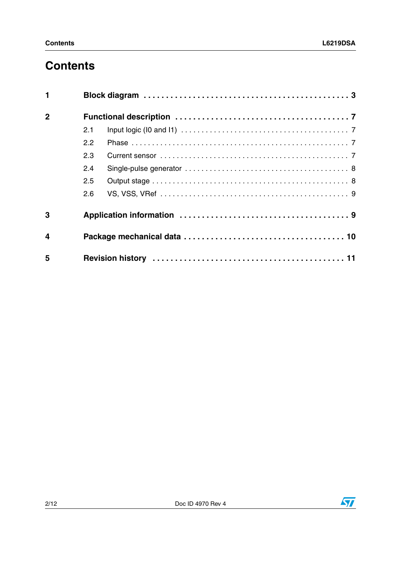# **Contents**

| $\blacksquare$          |     |  |
|-------------------------|-----|--|
| $\overline{2}$          |     |  |
|                         | 2.1 |  |
|                         | 2.2 |  |
|                         | 2.3 |  |
|                         | 2.4 |  |
|                         | 2.5 |  |
|                         | 2.6 |  |
| 3                       |     |  |
| $\overline{\mathbf{4}}$ |     |  |
| 5                       |     |  |

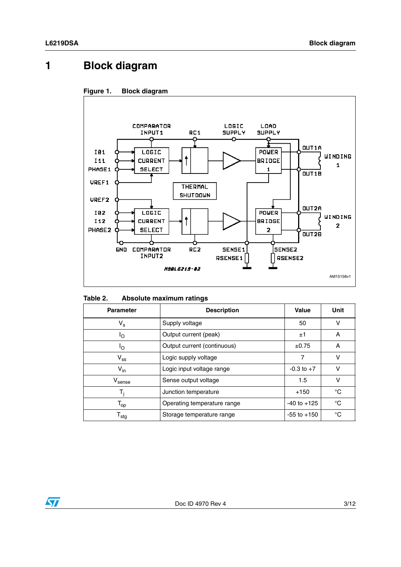# <span id="page-2-0"></span>**1 Block diagram**





| Table 2. |  | Absolute maximum ratings |  |
|----------|--|--------------------------|--|
|----------|--|--------------------------|--|

| <b>Parameter</b>             | <b>Description</b>                             | Value           | Unit |
|------------------------------|------------------------------------------------|-----------------|------|
| $V_{\rm s}$                  | Supply voltage                                 | 50              | v    |
| Ιo                           | Output current (peak)                          | ±1              | A    |
| ٥l                           | Output current (continuous)                    | $\pm 0.75$      | A    |
| $V_{ss}$                     | Logic supply voltage                           | 7               | v    |
| $V_{in}$                     | Logic input voltage range                      | $-0.3$ to $+7$  | v    |
| $\rm{V}_{\rm sense}$         | Sense output voltage                           | 1.5             | v    |
| т,                           | Junction temperature                           |                 | °C   |
| $\mathsf{T}_{\textsf{op}}$   | $-40$ to $+125$<br>Operating temperature range |                 | °C   |
| ${\mathsf T}_{\textsf{stg}}$ | Storage temperature range                      | $-55$ to $+150$ | °C   |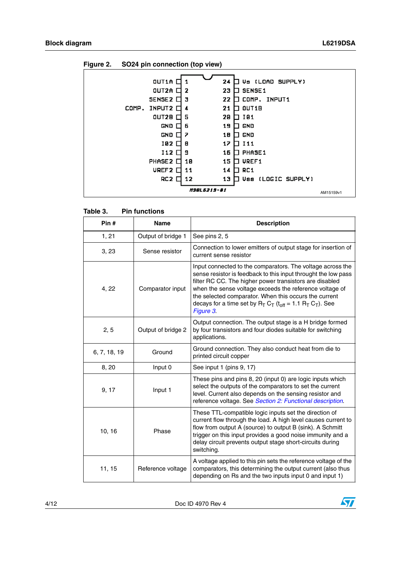| . |                   | .--- <i>.</i>      |                             |           |
|---|-------------------|--------------------|-----------------------------|-----------|
|   |                   |                    |                             |           |
|   | OUT1A             |                    | Va (LOAD SUPPLY)<br>24      |           |
|   | OUT2A             | 2                  | SENSE <sub>1</sub><br>23    |           |
|   | <b>SENSE2</b>     | з                  | COMP.<br>22<br>INPUT1       |           |
|   | COMP. INPUT2      | 4                  | OUT <sub>1</sub> B<br>21    |           |
|   | OUT2B             | 5                  | 101<br>20                   |           |
|   | GND               | 6                  | 19<br>GND                   |           |
|   | GND               | 7                  | GND<br>18                   |           |
|   | 192               | 8                  | 17<br>I11                   |           |
|   | I12               | 9                  | PHASE1<br>16                |           |
|   | PHASE 2           | 18                 | UREF1<br>15                 |           |
|   | UREF <sub>2</sub> | 11                 | RC <sub>1</sub><br>14       |           |
|   | RC 2              | 12                 | (LOGIC SUPPLY)<br>13<br>Uss |           |
|   |                   | <i>19816219-01</i> |                             | AM15159v1 |
|   |                   |                    |                             |           |

|  | Figure 2. |  | SO24 pin connection (top view) |  |  |
|--|-----------|--|--------------------------------|--|--|
|--|-----------|--|--------------------------------|--|--|

| Pin#         | <b>Name</b>        | <b>Description</b>                                                                                                                                                                                                                                                                                                                                                                                |
|--------------|--------------------|---------------------------------------------------------------------------------------------------------------------------------------------------------------------------------------------------------------------------------------------------------------------------------------------------------------------------------------------------------------------------------------------------|
| 1, 21        | Output of bridge 1 | See pins 2, 5                                                                                                                                                                                                                                                                                                                                                                                     |
| 3, 23        | Sense resistor     | Connection to lower emitters of output stage for insertion of<br>current sense resistor                                                                                                                                                                                                                                                                                                           |
| 4, 22        | Comparator input   | Input connected to the comparators. The voltage across the<br>sense resistor is feedback to this input throught the low pass<br>filter RC CC. The higher power transistors are disabled<br>when the sense voltage exceeds the reference voltage of<br>the selected comparator. When this occurs the current<br>decays for a time set by $R_T C_T$ ( $t_{off}$ = 1.1 $R_T C_T$ ). See<br>Figure 3. |
| 2, 5         | Output of bridge 2 | Output connection. The output stage is a H bridge formed<br>by four transistors and four diodes suitable for switching<br>applications.                                                                                                                                                                                                                                                           |
| 6, 7, 18, 19 | Ground             | Ground connection. They also conduct heat from die to<br>printed circuit copper                                                                                                                                                                                                                                                                                                                   |
| 8,20         | Input 0            | See input 1 (pins 9, 17)                                                                                                                                                                                                                                                                                                                                                                          |
| 9, 17        | Input 1            | These pins and pins 8, 20 (input 0) are logic inputs which<br>select the outputs of the comparators to set the current<br>level. Current also depends on the sensing resistor and<br>reference voltage. See Section 2: Functional description.                                                                                                                                                    |
| 10, 16       | Phase              | These TTL-compatible logic inputs set the direction of<br>current flow through the load. A high level causes current to<br>flow from output A (source) to output B (sink). A Schmitt<br>trigger on this input provides a good noise immunity and a<br>delay circuit prevents output stage short-circuits during<br>switching.                                                                     |
| 11, 15       | Reference voltage  | A voltage applied to this pin sets the reference voltage of the<br>comparators, this determining the output current (also thus<br>depending on Rs and the two inputs input 0 and input 1)                                                                                                                                                                                                         |

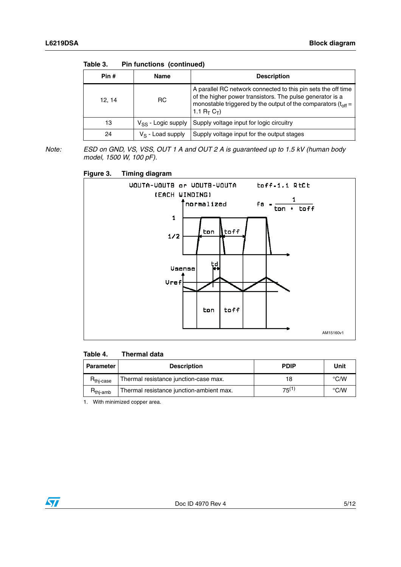| Table 3. | <b>Pin functions (continued)</b> |  |
|----------|----------------------------------|--|
|----------|----------------------------------|--|

| Pin # | Name                    | <b>Description</b>                                                                                                                                                                                                |
|-------|-------------------------|-------------------------------------------------------------------------------------------------------------------------------------------------------------------------------------------------------------------|
| 12.14 | R <sub>C</sub>          | A parallel RC network connected to this pin sets the off time<br>of the higher power transistors. The pulse generator is a<br>monostable triggered by the output of the comparators $(t_{off} =$<br>1.1 $R_T C_T$ |
| 13    | $V_{SS}$ - Logic supply | Supply voltage input for logic circuitry                                                                                                                                                                          |
| 24    | $V_S$ - Load supply     | Supply voltage input for the output stages                                                                                                                                                                        |

*Note: ESD on GND, VS, VSS, OUT 1 A and OUT 2 A is guaranteed up to 1.5 kV (human body model, 1500 W, 100 pF).*

<span id="page-4-0"></span>

| Figure 3. |  | <b>Timing diagram</b> |
|-----------|--|-----------------------|
|           |  |                       |



#### **Table 4. Thermal data**

| Parameter             | <b>Description</b>                       | <b>PDIP</b> | Unit               |
|-----------------------|------------------------------------------|-------------|--------------------|
| $R_{\text{thi-case}}$ | Thermal resistance junction-case max.    | 18          | $\rm ^{\circ}$ C/W |
| <b>H</b> thi-amb      | Thermal resistance junction-ambient max. | $75^{(1)}$  | °C/W               |

1. With minimized copper area.

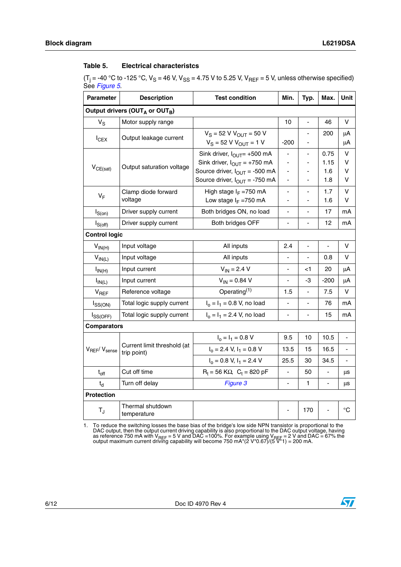#### <span id="page-5-1"></span>Table 5. **Electrical characteristcs**

(T<sub>j</sub> = -40 °C to -125 °C, V<sub>S</sub> = 46 V, V<sub>SS</sub> = 4.75 V to 5.25 V, V<sub>REF</sub> = 5 V, unless otherwise specified) See *[Figure 5](#page-8-2)*.

| Parameter                                              | <b>Description</b>                         | <b>Test condition</b>                                                                                                                                 | Min.                                                                                                         | Typ.                                                              | Max.                       | <b>Unit</b>      |  |  |
|--------------------------------------------------------|--------------------------------------------|-------------------------------------------------------------------------------------------------------------------------------------------------------|--------------------------------------------------------------------------------------------------------------|-------------------------------------------------------------------|----------------------------|------------------|--|--|
| Output drivers (OUT <sub>A</sub> or OUT <sub>B</sub> ) |                                            |                                                                                                                                                       |                                                                                                              |                                                                   |                            |                  |  |  |
| $V_S$                                                  | Motor supply range                         |                                                                                                                                                       | 10                                                                                                           | $\overline{a}$                                                    | 46                         | v                |  |  |
| $I_{CEX}$                                              | Output leakage current                     | $V_S = 52 V V_{OUT} = 50 V$<br>$V_S = 52 V V_{OUT} = 1 V$                                                                                             | $-200$                                                                                                       |                                                                   | 200                        | μA<br>μA         |  |  |
| $V_{CE(sat)}$                                          | Output saturation voltage                  | Sink driver, $I_{\text{OUT}}$ +500 mA<br>Sink driver, $I_{OUT} = +750$ mA<br>Source driver, $I_{OUT} = -500$ mA<br>Source driver, $I_{OUT} = -750$ mA | $\overline{\phantom{a}}$<br>$\overline{\phantom{a}}$<br>$\overline{\phantom{a}}$<br>$\overline{\phantom{a}}$ | $\blacksquare$<br>٠<br>$\overline{a}$<br>$\overline{\phantom{a}}$ | 0.75<br>1.15<br>1.6<br>1.8 | v<br>v<br>v<br>v |  |  |
| $V_F$                                                  | Clamp diode forward<br>voltage             | High stage $I_F = 750$ mA<br>Low stage $I_F = 750$ mA                                                                                                 | $\overline{\phantom{a}}$                                                                                     |                                                                   | 1.7<br>1.6                 | v<br>v           |  |  |
| $I_{S(0n)}$                                            | Driver supply current                      | Both bridges ON, no load                                                                                                                              | $\blacksquare$                                                                                               | $\blacksquare$                                                    | 17                         | mA               |  |  |
| $I_{S(off)}$                                           | Driver supply current                      | Both bridges OFF                                                                                                                                      | $\overline{\phantom{a}}$                                                                                     | ÷,                                                                | 12                         | mA               |  |  |
| <b>Control logic</b>                                   |                                            |                                                                                                                                                       |                                                                                                              |                                                                   |                            |                  |  |  |
| $V_{IN(H)}$                                            | Input voltage                              | All inputs                                                                                                                                            | 2.4                                                                                                          | $\blacksquare$                                                    | $\blacksquare$             | v                |  |  |
| $V_{IN(L)}$                                            | Input voltage                              | All inputs                                                                                                                                            |                                                                                                              |                                                                   | 0.8                        | v                |  |  |
| $I_{IN(H)}$                                            | Input current                              | $V_{IN} = 2.4 V$                                                                                                                                      | ÷,                                                                                                           | <1                                                                | 20                         | μA               |  |  |
| $I_{IN(L)}$                                            | Input current                              | $V_{IN} = 0.84 V$                                                                                                                                     | $\overline{a}$                                                                                               | -3                                                                | $-200$                     | μA               |  |  |
| V <sub>REF</sub>                                       | Reference voltage                          | Operating $(1)$                                                                                                                                       | 1.5                                                                                                          |                                                                   | 7.5                        | V                |  |  |
| $I_{SS(ON)}$                                           | Total logic supply current                 | $I_0 = I_1 = 0.8$ V, no load                                                                                                                          | $\overline{\phantom{a}}$                                                                                     | ä,                                                                | 76                         | mA               |  |  |
| $I_{SS(OFF)}$                                          | Total logic supply current                 | $I_0 = I_1 = 2.4$ V, no load                                                                                                                          | $\blacksquare$                                                                                               | $\overline{a}$                                                    | 15                         | mA               |  |  |
| <b>Comparators</b>                                     |                                            |                                                                                                                                                       |                                                                                                              |                                                                   |                            |                  |  |  |
|                                                        | Current limit threshold (at<br>trip point) | $I_0 = I_1 = 0.8 V$                                                                                                                                   | 9.5                                                                                                          | 10                                                                | 10.5                       | ÷                |  |  |
| V <sub>REF</sub> / V <sub>sense</sub>                  |                                            | $I_0$ = 2.4 V, $I_1$ = 0.8 V                                                                                                                          | 13.5                                                                                                         | 15                                                                | 16.5                       |                  |  |  |
|                                                        |                                            | $I_0 = 0.8$ V, $I_1 = 2.4$ V                                                                                                                          | 25.5                                                                                                         | 30                                                                | 34.5                       | ÷,               |  |  |
| $t_{off}$                                              | Cut off time                               | $R_t = 56$ KΩ, $C_t = 820$ pF                                                                                                                         | ä,                                                                                                           | 50                                                                | $\overline{a}$             | μs               |  |  |
| $t_{\rm d}$                                            | Turn off delay                             | Figure 3                                                                                                                                              |                                                                                                              | 1                                                                 | $\overline{a}$             | μs               |  |  |
| Protection                                             |                                            |                                                                                                                                                       |                                                                                                              |                                                                   |                            |                  |  |  |
| $T_{\rm J}$                                            | Thermal shutdown<br>temperature            |                                                                                                                                                       | $\blacksquare$                                                                                               | 170                                                               |                            | $^{\circ}C$      |  |  |

<span id="page-5-0"></span>1. To reduce the switching losses the base bias of the bridge's low side NPN transistor is proportional to the DAC output, then the output current driving capability is also proportional to the DAC output voltage, having as reference 750 mA with V<sub>REF</sub> = 5 V and DAC =100%. For example using V<sub>REF</sub> = 2 V and DAC = 67% the<br>output maximum current driving capability will become 750 mA\*(2 V\*0.67)/(5 V\*1) = 200 mA.

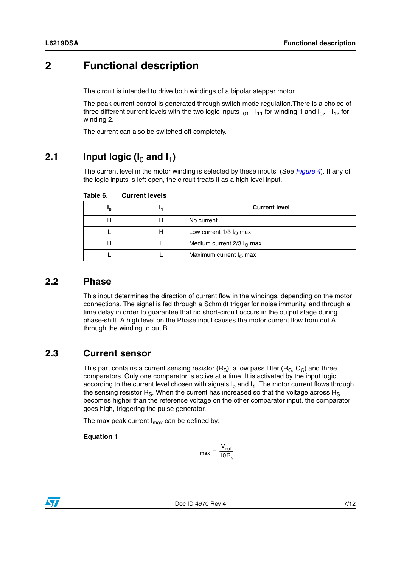## <span id="page-6-0"></span>**2 Functional description**

The circuit is intended to drive both windings of a bipolar stepper motor.

The peak current control is generated through switch mode regulation.There is a choice of three different current levels with the two logic inputs  $I_{01}$  -  $I_{11}$  for winding 1 and  $I_{02}$  -  $I_{12}$  for winding 2.

The current can also be switched off completely.

### <span id="page-6-1"></span>**2.1** Input logic ( $I_0$  and  $I_1$ )

The current level in the motor winding is selected by these inputs. (See *[Figure 4](#page-7-2)*). If any of the logic inputs is left open, the circuit treats it as a high level input.

| חי |   | <b>Current level</b>             |
|----|---|----------------------------------|
|    |   | No current                       |
|    | п | Low current $1/3 IO$ max         |
|    |   | Medium current $2/3$ $IO$ max    |
|    |   | Maximum current $I_{\Omega}$ max |

Table 6. **Current levels** 

### <span id="page-6-2"></span>**2.2 Phase**

This input determines the direction of current flow in the windings, depending on the motor connections. The signal is fed through a Schmidt trigger for noise immunity, and through a time delay in order to guarantee that no short-circuit occurs in the output stage during phase-shift. A high level on the Phase input causes the motor current flow from out A through the winding to out B.

### <span id="page-6-3"></span>**2.3 Current sensor**

This part contains a current sensing resistor  $(R<sub>S</sub>)$ , a low pass filter  $(R<sub>C</sub>, C<sub>C</sub>)$  and three comparators. Only one comparator is active at a time. It is activated by the input logic according to the current level chosen with signals  $I_0$  and  $I_1$ . The motor current flows through the sensing resistor  $R_S$ . When the current has increased so that the voltage across  $R_S$ becomes higher than the reference voltage on the other comparator input, the comparator goes high, triggering the pulse generator.

The max peak current  $I_{\text{max}}$  can be defined by:

#### **Equation 1**

$$
I_{\text{max}} = \frac{V_{\text{ref}}}{10R_{\text{s}}}
$$

Doc ID 4970 Rev 4 7/12

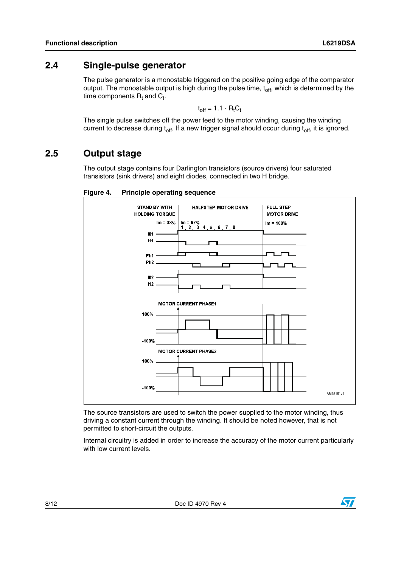### <span id="page-7-0"></span>**2.4 Single-pulse generator**

The pulse generator is a monostable triggered on the positive going edge of the comparator output. The monostable output is high during the pulse time,  $t_{\text{off}}$ , which is determined by the time components  $\mathsf{R}_{\mathsf{t}}$  and  $\mathsf{C}_{\mathsf{t}}$ .

$$
t_{off} = 1.1 \cdot R_t C_t
$$

The single pulse switches off the power feed to the motor winding, causing the winding current to decrease during  $t_{off}$ . If a new trigger signal should occur during  $t_{off}$ , it is ignored.

### <span id="page-7-1"></span>**2.5 Output stage**

The output stage contains four Darlington transistors (source drivers) four saturated transistors (sink drivers) and eight diodes, connected in two H bridge.



<span id="page-7-2"></span>**Figure 4. Principle operating sequence**

The source transistors are used to switch the power supplied to the motor winding, thus driving a constant current through the winding. It should be noted however, that is not permitted to short-circuit the outputs.

Internal circuitry is added in order to increase the accuracy of the motor current particularly with low current levels.

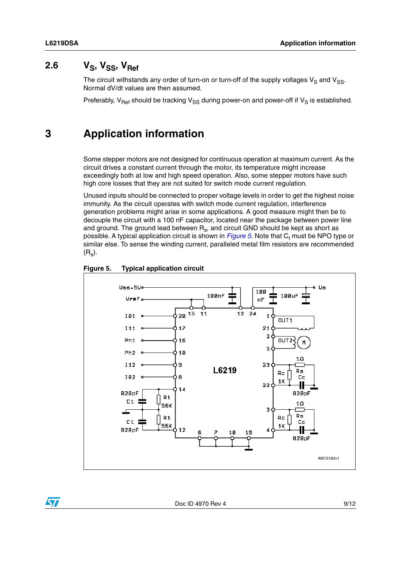$\overline{\mathbf{S}}$ 

# <span id="page-8-0"></span>2.6  $V_S$ ,  $V_{SS}$ ,  $V_{Ref}$

The circuit withstands any order of turn-on or turn-off of the supply voltages  $V_S$  and  $V_{SS}$ . Normal dV/dt values are then assumed.

Preferably,  $V_{\text{Ref}}$  should be tracking  $V_{\text{SS}}$  during power-on and power-off if  $V_{\text{S}}$  is established.

## <span id="page-8-1"></span>**3 Application information**

Some stepper motors are not designed for continuous operation at maximum current. As the circuit drives a constant current through the motor, its temperature might increase exceedingly both at low and high speed operation. Also, some stepper motors have such high core losses that they are not suited for switch mode current regulation.

Unused inputs should be connected to proper voltage levels in order to get the highest noise immunity. As the circuit operates with switch mode current regulation, interference generation problems might arise in some applications. A good measure might then be to decouple the circuit with a 100 nF capacitor, located near the package between power line and ground. The ground lead between  $R_s$ , and circuit GND should be kept as short as possible. A typical application circuit is shown in *[Figure 5](#page-8-2)*. Note that C<sub>t</sub> must be NPO type or similar else. To sense the winding current, paralleled metal film resistors are recommended  $(R<sub>s</sub>)$ .



#### <span id="page-8-2"></span>**Figure 5. Typical application circuit**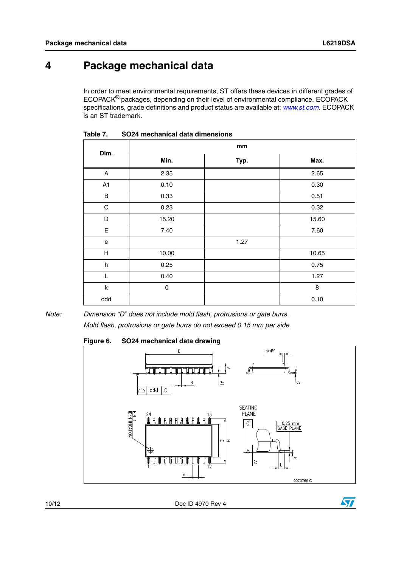# <span id="page-9-0"></span>**4 Package mechanical data**

In order to meet environmental requirements, ST offers these devices in different grades of ECOPACK® packages, depending on their level of environmental compliance. ECOPACK specifications, grade definitions and product status are available at: *[www.st.com](http://www.st.com)*. ECOPACK is an ST trademark.

| Dim.                      | mm          |      |       |  |  |
|---------------------------|-------------|------|-------|--|--|
|                           | Min.        | Typ. | Max.  |  |  |
| A                         | 2.35        |      | 2.65  |  |  |
| A1                        | 0.10        |      | 0.30  |  |  |
| $\sf B$                   | 0.33        |      | 0.51  |  |  |
| ${\bf C}$                 | 0.23        |      | 0.32  |  |  |
| D                         | 15.20       |      | 15.60 |  |  |
| E                         | 7.40        |      | 7.60  |  |  |
| e                         |             | 1.27 |       |  |  |
| н                         | 10.00       |      | 10.65 |  |  |
| $\boldsymbol{\mathsf{h}}$ | 0.25        |      | 0.75  |  |  |
| L                         | 0.40        |      | 1.27  |  |  |
| k                         | $\mathbf 0$ |      | 8     |  |  |
| ddd                       |             |      | 0.10  |  |  |

**Table 7. SO24 mechanical data dimensions**

*Note: Dimension "D" does not include mold flash, protrusions or gate burrs. Mold flash, protrusions or gate burrs do not exceed 0.15 mm per side.*

**Figure 6. SO24 mechanical data drawing**



10/12 Doc ID 4970 Rev 4

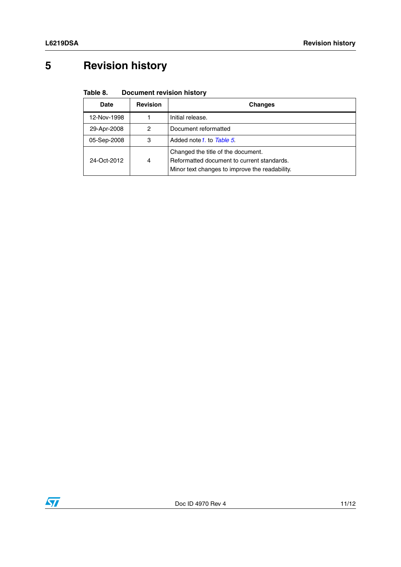# <span id="page-10-0"></span>**5 Revision history**

#### Table 8. **Document revision history**

| Date             | <b>Revision</b> | <b>Changes</b>                                                                                                                     |
|------------------|-----------------|------------------------------------------------------------------------------------------------------------------------------------|
| 12-Nov-1998      |                 | Initial release.                                                                                                                   |
| 29-Apr-2008      | 2               | Document reformatted                                                                                                               |
| 05-Sep-2008      | 3               | Added note 1, to Table 5.                                                                                                          |
| 24-Oct-2012<br>4 |                 | Changed the title of the document.<br>Reformatted document to current standards.<br>Minor text changes to improve the readability. |